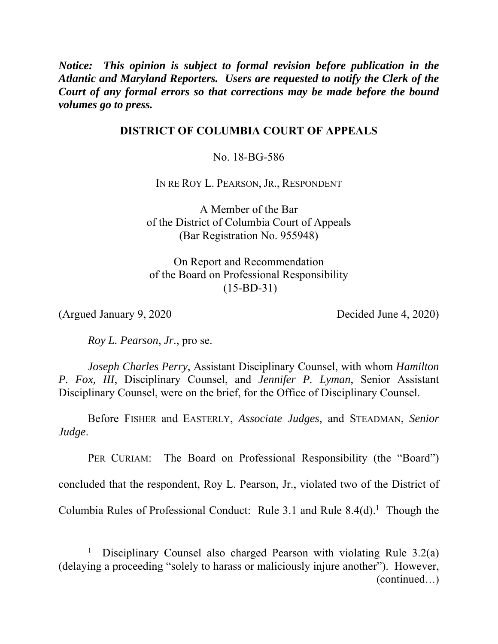*Notice: This opinion is subject to formal revision before publication in the Atlantic and Maryland Reporters. Users are requested to notify the Clerk of the Court of any formal errors so that corrections may be made before the bound volumes go to press.* 

# **DISTRICT OF COLUMBIA COURT OF APPEALS**

No. 18-BG-586

IN RE ROY L. PEARSON, JR., RESPONDENT

A Member of the Bar of the District of Columbia Court of Appeals (Bar Registration No. 955948)

On Report and Recommendation of the Board on Professional Responsibility (15-BD-31)

(Argued January 9, 2020 Decided June 4, 2020)

*Roy L. Pearson*, *Jr*., pro se.

*Joseph Charles Perry*, Assistant Disciplinary Counsel, with whom *Hamilton P. Fox, III*, Disciplinary Counsel, and *Jennifer P. Lyman*, Senior Assistant Disciplinary Counsel, were on the brief, for the Office of Disciplinary Counsel.

 Before FISHER and EASTERLY, *Associate Judges*, and STEADMAN, *Senior Judge*.

PER CURIAM: The Board on Professional Responsibility (the "Board")

concluded that the respondent, Roy L. Pearson, Jr., violated two of the District of

Columbia Rules of Professional Conduct: Rule 3.1 and Rule  $8.4(d)$ .<sup>1</sup> Though the

<sup>&</sup>lt;u>1</u> <sup>1</sup> Disciplinary Counsel also charged Pearson with violating Rule  $3.2(a)$ (delaying a proceeding "solely to harass or maliciously injure another"). However, (continued…)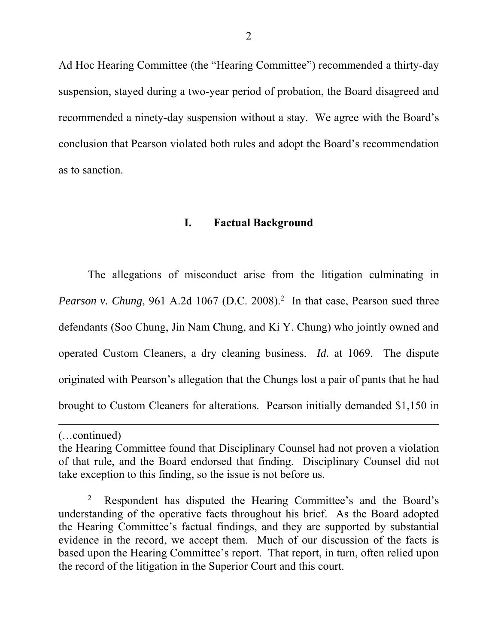Ad Hoc Hearing Committee (the "Hearing Committee") recommended a thirty-day suspension, stayed during a two-year period of probation, the Board disagreed and recommended a ninety-day suspension without a stay. We agree with the Board's conclusion that Pearson violated both rules and adopt the Board's recommendation as to sanction.

# **I. Factual Background**

The allegations of misconduct arise from the litigation culminating in *Pearson v. Chung*, 961 A.2d 1067 (D.C. 2008).<sup>2</sup> In that case, Pearson sued three defendants (Soo Chung, Jin Nam Chung, and Ki Y. Chung) who jointly owned and operated Custom Cleaners, a dry cleaning business. *Id.* at 1069. The dispute originated with Pearson's allegation that the Chungs lost a pair of pants that he had brought to Custom Cleaners for alterations. Pearson initially demanded \$1,150 in

l

<sup>(…</sup>continued)

the Hearing Committee found that Disciplinary Counsel had not proven a violation of that rule, and the Board endorsed that finding. Disciplinary Counsel did not take exception to this finding, so the issue is not before us.

<sup>2</sup> Respondent has disputed the Hearing Committee's and the Board's understanding of the operative facts throughout his brief. As the Board adopted the Hearing Committee's factual findings, and they are supported by substantial evidence in the record, we accept them. Much of our discussion of the facts is based upon the Hearing Committee's report. That report, in turn, often relied upon the record of the litigation in the Superior Court and this court.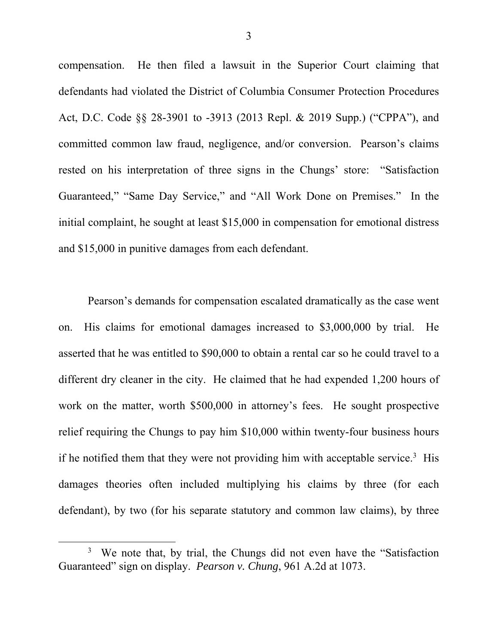compensation.He then filed a lawsuit in the Superior Court claiming that defendants had violated the District of Columbia Consumer Protection Procedures Act, D.C. Code §§ 28-3901 to -3913 (2013 Repl. & 2019 Supp.) ("CPPA"), and committed common law fraud, negligence, and/or conversion. Pearson's claims rested on his interpretation of three signs in the Chungs' store: "Satisfaction Guaranteed," "Same Day Service," and "All Work Done on Premises." In the initial complaint, he sought at least \$15,000 in compensation for emotional distress and \$15,000 in punitive damages from each defendant.

Pearson's demands for compensation escalated dramatically as the case went on. His claims for emotional damages increased to \$3,000,000 by trial. He asserted that he was entitled to \$90,000 to obtain a rental car so he could travel to a different dry cleaner in the city. He claimed that he had expended 1,200 hours of work on the matter, worth \$500,000 in attorney's fees. He sought prospective relief requiring the Chungs to pay him \$10,000 within twenty-four business hours if he notified them that they were not providing him with acceptable service.<sup>3</sup> His damages theories often included multiplying his claims by three (for each defendant), by two (for his separate statutory and common law claims), by three

 $\frac{1}{3}$ <sup>3</sup> We note that, by trial, the Chungs did not even have the "Satisfaction" Guaranteed" sign on display. *Pearson v. Chung*, 961 A.2d at 1073.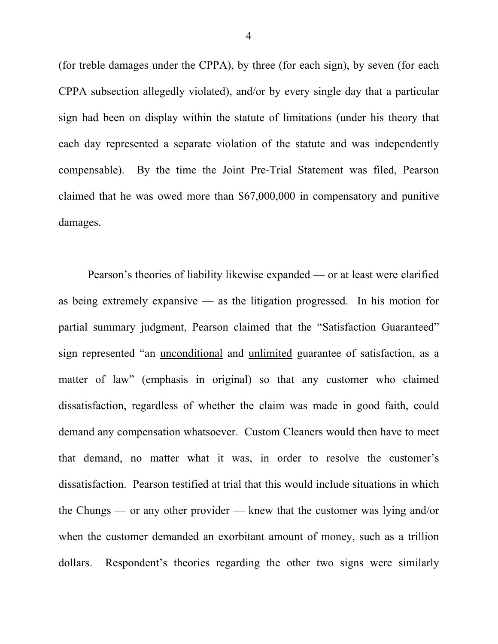(for treble damages under the CPPA), by three (for each sign), by seven (for each CPPA subsection allegedly violated), and/or by every single day that a particular sign had been on display within the statute of limitations (under his theory that each day represented a separate violation of the statute and was independently compensable). By the time the Joint Pre-Trial Statement was filed, Pearson claimed that he was owed more than \$67,000,000 in compensatory and punitive damages.

Pearson's theories of liability likewise expanded — or at least were clarified as being extremely expansive — as the litigation progressed. In his motion for partial summary judgment, Pearson claimed that the "Satisfaction Guaranteed" sign represented "an unconditional and unlimited guarantee of satisfaction, as a matter of law" (emphasis in original) so that any customer who claimed dissatisfaction, regardless of whether the claim was made in good faith, could demand any compensation whatsoever. Custom Cleaners would then have to meet that demand, no matter what it was, in order to resolve the customer's dissatisfaction. Pearson testified at trial that this would include situations in which the Chungs — or any other provider — knew that the customer was lying and/or when the customer demanded an exorbitant amount of money, such as a trillion dollars. Respondent's theories regarding the other two signs were similarly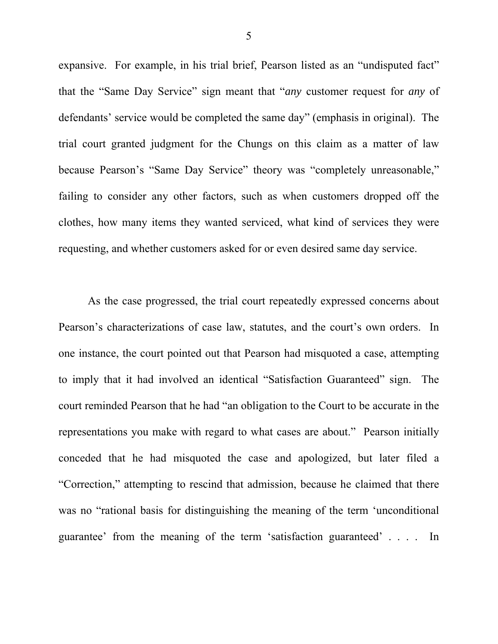expansive. For example, in his trial brief, Pearson listed as an "undisputed fact" that the "Same Day Service" sign meant that "*any* customer request for *any* of defendants' service would be completed the same day" (emphasis in original). The trial court granted judgment for the Chungs on this claim as a matter of law because Pearson's "Same Day Service" theory was "completely unreasonable," failing to consider any other factors, such as when customers dropped off the clothes, how many items they wanted serviced, what kind of services they were requesting, and whether customers asked for or even desired same day service.

As the case progressed, the trial court repeatedly expressed concerns about Pearson's characterizations of case law, statutes, and the court's own orders. In one instance, the court pointed out that Pearson had misquoted a case, attempting to imply that it had involved an identical "Satisfaction Guaranteed" sign. The court reminded Pearson that he had "an obligation to the Court to be accurate in the representations you make with regard to what cases are about." Pearson initially conceded that he had misquoted the case and apologized, but later filed a "Correction," attempting to rescind that admission, because he claimed that there was no "rational basis for distinguishing the meaning of the term 'unconditional guarantee' from the meaning of the term 'satisfaction guaranteed' . . . . In

5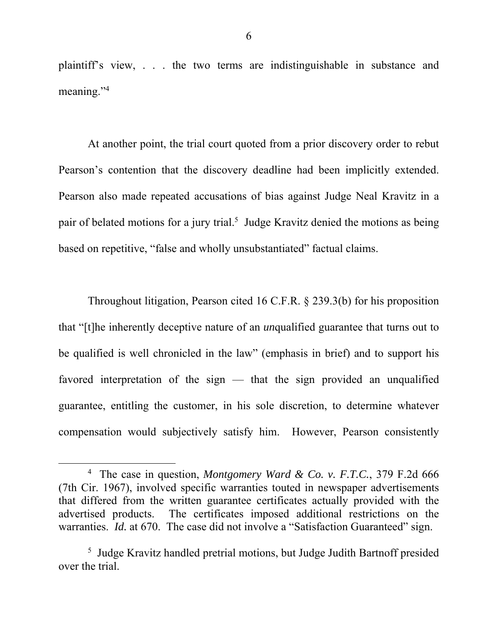plaintiff's view, . . . the two terms are indistinguishable in substance and meaning."<sup>4</sup>

At another point, the trial court quoted from a prior discovery order to rebut Pearson's contention that the discovery deadline had been implicitly extended. Pearson also made repeated accusations of bias against Judge Neal Kravitz in a pair of belated motions for a jury trial.<sup>5</sup> Judge Kravitz denied the motions as being based on repetitive, "false and wholly unsubstantiated" factual claims.

Throughout litigation, Pearson cited 16 C.F.R. § 239.3(b) for his proposition that "[t]he inherently deceptive nature of an *un*qualified guarantee that turns out to be qualified is well chronicled in the law" (emphasis in brief) and to support his favored interpretation of the sign  $-$  that the sign provided an unqualified guarantee, entitling the customer, in his sole discretion, to determine whatever compensation would subjectively satisfy him. However, Pearson consistently

 $\overline{4}$  The case in question, *Montgomery Ward & Co. v. F.T.C.*, 379 F.2d 666 (7th Cir. 1967), involved specific warranties touted in newspaper advertisements that differed from the written guarantee certificates actually provided with the advertised products. The certificates imposed additional restrictions on the warranties. *Id.* at 670. The case did not involve a "Satisfaction Guaranteed" sign.

<sup>&</sup>lt;sup>5</sup> Judge Kravitz handled pretrial motions, but Judge Judith Bartnoff presided over the trial.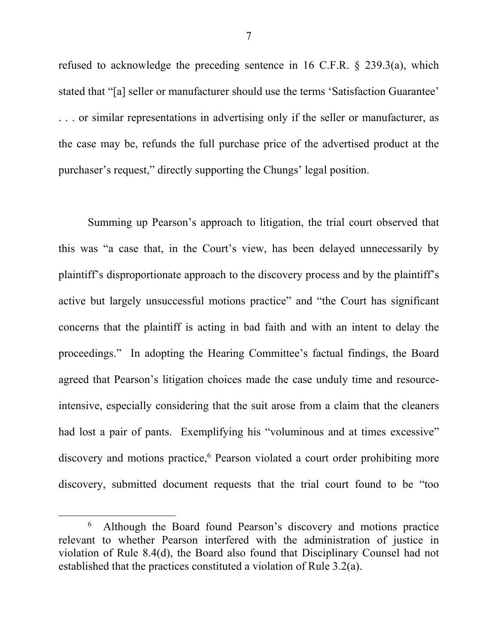refused to acknowledge the preceding sentence in 16 C.F.R. § 239.3(a), which stated that "[a] seller or manufacturer should use the terms 'Satisfaction Guarantee' . . . or similar representations in advertising only if the seller or manufacturer, as the case may be, refunds the full purchase price of the advertised product at the purchaser's request," directly supporting the Chungs' legal position.

Summing up Pearson's approach to litigation, the trial court observed that this was "a case that, in the Court's view, has been delayed unnecessarily by plaintiff's disproportionate approach to the discovery process and by the plaintiff's active but largely unsuccessful motions practice" and "the Court has significant concerns that the plaintiff is acting in bad faith and with an intent to delay the proceedings." In adopting the Hearing Committee's factual findings, the Board agreed that Pearson's litigation choices made the case unduly time and resourceintensive, especially considering that the suit arose from a claim that the cleaners had lost a pair of pants. Exemplifying his "voluminous and at times excessive" discovery and motions practice,<sup>6</sup> Pearson violated a court order prohibiting more discovery, submitted document requests that the trial court found to be "too

 <sup>6</sup> <sup>6</sup> Although the Board found Pearson's discovery and motions practice relevant to whether Pearson interfered with the administration of justice in violation of Rule 8.4(d), the Board also found that Disciplinary Counsel had not established that the practices constituted a violation of Rule 3.2(a).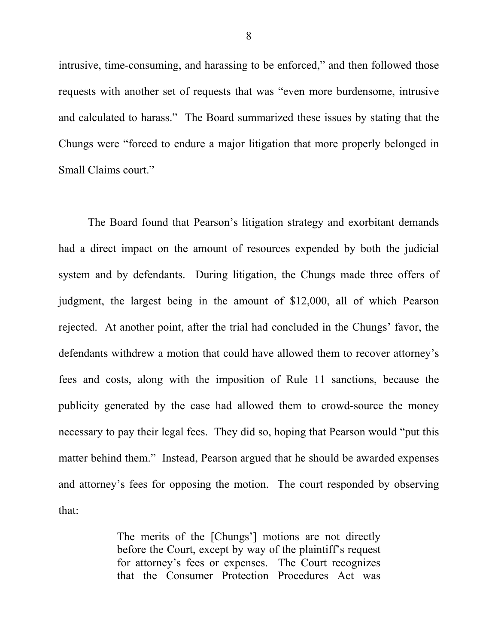intrusive, time-consuming, and harassing to be enforced," and then followed those requests with another set of requests that was "even more burdensome, intrusive and calculated to harass." The Board summarized these issues by stating that the Chungs were "forced to endure a major litigation that more properly belonged in Small Claims court."

The Board found that Pearson's litigation strategy and exorbitant demands had a direct impact on the amount of resources expended by both the judicial system and by defendants. During litigation, the Chungs made three offers of judgment, the largest being in the amount of \$12,000, all of which Pearson rejected. At another point, after the trial had concluded in the Chungs' favor, the defendants withdrew a motion that could have allowed them to recover attorney's fees and costs, along with the imposition of Rule 11 sanctions, because the publicity generated by the case had allowed them to crowd-source the money necessary to pay their legal fees. They did so, hoping that Pearson would "put this matter behind them." Instead, Pearson argued that he should be awarded expenses and attorney's fees for opposing the motion. The court responded by observing that:

> The merits of the [Chungs'] motions are not directly before the Court, except by way of the plaintiff's request for attorney's fees or expenses. The Court recognizes that the Consumer Protection Procedures Act was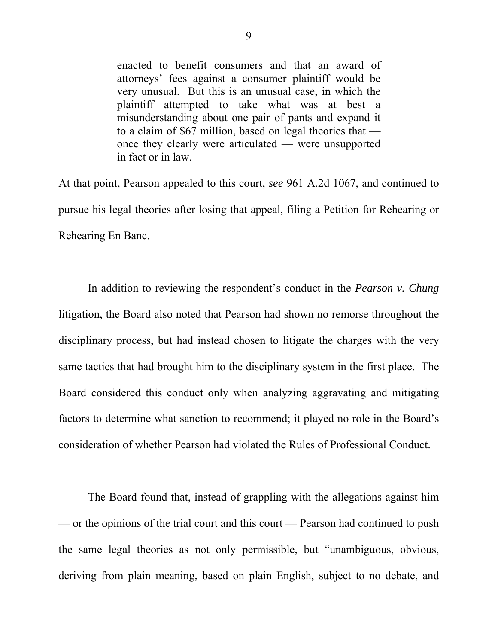enacted to benefit consumers and that an award of attorneys' fees against a consumer plaintiff would be very unusual. But this is an unusual case, in which the plaintiff attempted to take what was at best a misunderstanding about one pair of pants and expand it to a claim of \$67 million, based on legal theories that once they clearly were articulated — were unsupported in fact or in law.

At that point, Pearson appealed to this court, *see* 961 A.2d 1067, and continued to pursue his legal theories after losing that appeal, filing a Petition for Rehearing or Rehearing En Banc.

In addition to reviewing the respondent's conduct in the *Pearson v. Chung*  litigation, the Board also noted that Pearson had shown no remorse throughout the disciplinary process, but had instead chosen to litigate the charges with the very same tactics that had brought him to the disciplinary system in the first place. The Board considered this conduct only when analyzing aggravating and mitigating factors to determine what sanction to recommend; it played no role in the Board's consideration of whether Pearson had violated the Rules of Professional Conduct.

The Board found that, instead of grappling with the allegations against him — or the opinions of the trial court and this court — Pearson had continued to push the same legal theories as not only permissible, but "unambiguous, obvious, deriving from plain meaning, based on plain English, subject to no debate, and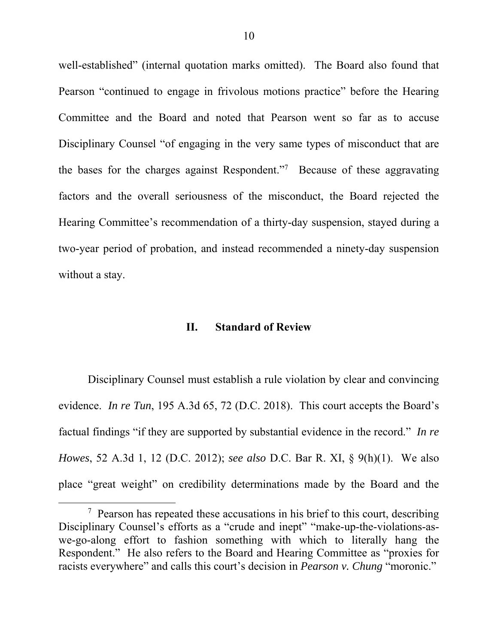well-established" (internal quotation marks omitted). The Board also found that Pearson "continued to engage in frivolous motions practice" before the Hearing Committee and the Board and noted that Pearson went so far as to accuse Disciplinary Counsel "of engaging in the very same types of misconduct that are the bases for the charges against Respondent."7 Because of these aggravating factors and the overall seriousness of the misconduct, the Board rejected the Hearing Committee's recommendation of a thirty-day suspension, stayed during a two-year period of probation, and instead recommended a ninety-day suspension without a stay.

### **II. Standard of Review**

Disciplinary Counsel must establish a rule violation by clear and convincing evidence. *In re Tun*, 195 A.3d 65, 72 (D.C. 2018). This court accepts the Board's factual findings "if they are supported by substantial evidence in the record." *In re Howes*, 52 A.3d 1, 12 (D.C. 2012); *see also* D.C. Bar R. XI, § 9(h)(1). We also place "great weight" on credibility determinations made by the Board and the

 <sup>7</sup>  $\frac{7}{7}$  Pearson has repeated these accusations in his brief to this court, describing Disciplinary Counsel's efforts as a "crude and inept" "make-up-the-violations-aswe-go-along effort to fashion something with which to literally hang the Respondent." He also refers to the Board and Hearing Committee as "proxies for racists everywhere" and calls this court's decision in *Pearson v. Chung* "moronic."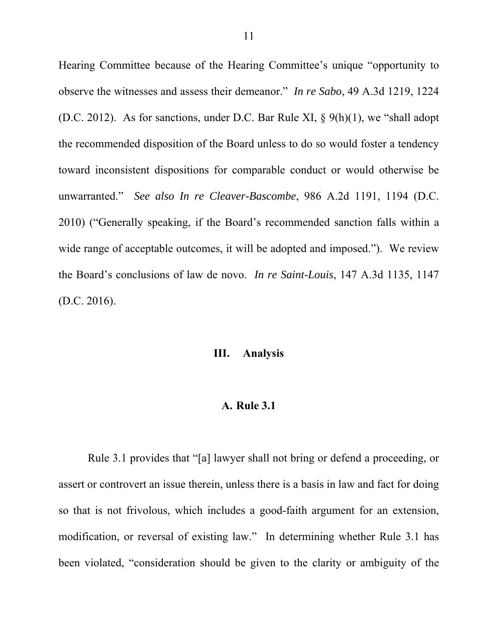Hearing Committee because of the Hearing Committee's unique "opportunity to observe the witnesses and assess their demeanor." *In re Sabo*, 49 A.3d 1219, 1224 (D.C. 2012). As for sanctions, under D.C. Bar Rule XI, § 9(h)(1), we "shall adopt the recommended disposition of the Board unless to do so would foster a tendency toward inconsistent dispositions for comparable conduct or would otherwise be unwarranted." *See also In re Cleaver-Bascombe*, 986 A.2d 1191, 1194 (D.C. 2010) ("Generally speaking, if the Board's recommended sanction falls within a wide range of acceptable outcomes, it will be adopted and imposed."). We review the Board's conclusions of law de novo. *In re Saint-Louis*, 147 A.3d 1135, 1147 (D.C. 2016).

## **III. Analysis**

#### **A. Rule 3.1**

Rule 3.1 provides that "[a] lawyer shall not bring or defend a proceeding, or assert or controvert an issue therein, unless there is a basis in law and fact for doing so that is not frivolous, which includes a good-faith argument for an extension, modification, or reversal of existing law." In determining whether Rule 3.1 has been violated, "consideration should be given to the clarity or ambiguity of the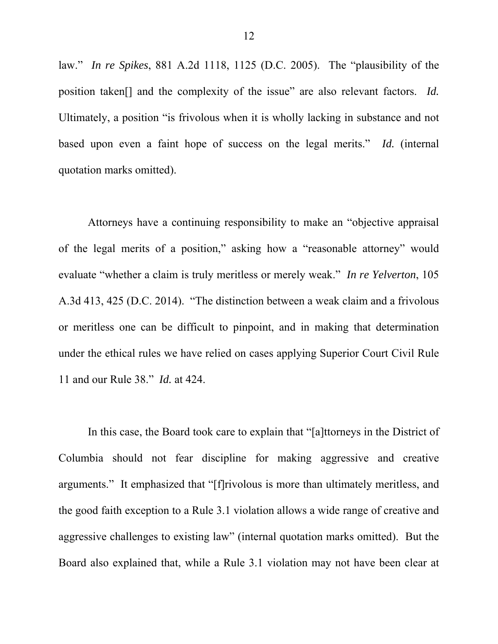law." *In re Spikes*, 881 A.2d 1118, 1125 (D.C. 2005). The "plausibility of the position taken[] and the complexity of the issue" are also relevant factors. *Id.* Ultimately, a position "is frivolous when it is wholly lacking in substance and not based upon even a faint hope of success on the legal merits." *Id.* (internal quotation marks omitted).

Attorneys have a continuing responsibility to make an "objective appraisal of the legal merits of a position," asking how a "reasonable attorney" would evaluate "whether a claim is truly meritless or merely weak." *In re Yelverton*, 105 A.3d 413, 425 (D.C. 2014). "The distinction between a weak claim and a frivolous or meritless one can be difficult to pinpoint, and in making that determination under the ethical rules we have relied on cases applying Superior Court Civil Rule 11 and our Rule 38." *Id.* at 424.

In this case, the Board took care to explain that "[a]ttorneys in the District of Columbia should not fear discipline for making aggressive and creative arguments." It emphasized that "[f]rivolous is more than ultimately meritless, and the good faith exception to a Rule 3.1 violation allows a wide range of creative and aggressive challenges to existing law" (internal quotation marks omitted). But the Board also explained that, while a Rule 3.1 violation may not have been clear at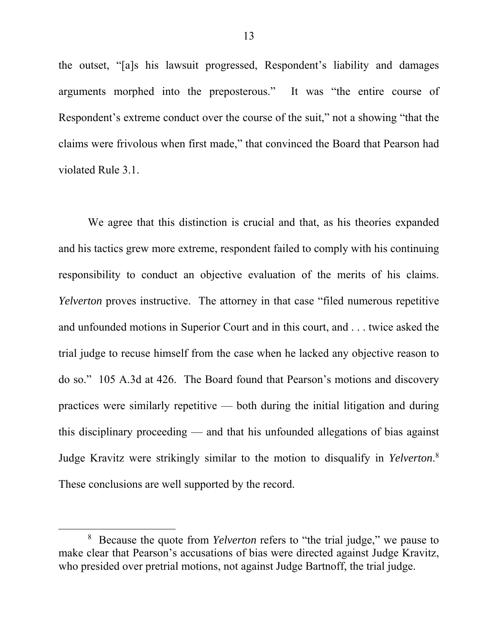the outset, "[a]s his lawsuit progressed, Respondent's liability and damages arguments morphed into the preposterous." It was "the entire course of Respondent's extreme conduct over the course of the suit," not a showing "that the claims were frivolous when first made," that convinced the Board that Pearson had violated Rule 3.1.

We agree that this distinction is crucial and that, as his theories expanded and his tactics grew more extreme, respondent failed to comply with his continuing responsibility to conduct an objective evaluation of the merits of his claims. *Yelverton* proves instructive. The attorney in that case "filed numerous repetitive and unfounded motions in Superior Court and in this court, and . . . twice asked the trial judge to recuse himself from the case when he lacked any objective reason to do so." 105 A.3d at 426. The Board found that Pearson's motions and discovery practices were similarly repetitive — both during the initial litigation and during this disciplinary proceeding — and that his unfounded allegations of bias against Judge Kravitz were strikingly similar to the motion to disqualify in *Yelverton*. 8 These conclusions are well supported by the record.

 <sup>8</sup> Because the quote from *Yelverton* refers to "the trial judge," we pause to make clear that Pearson's accusations of bias were directed against Judge Kravitz, who presided over pretrial motions, not against Judge Bartnoff, the trial judge.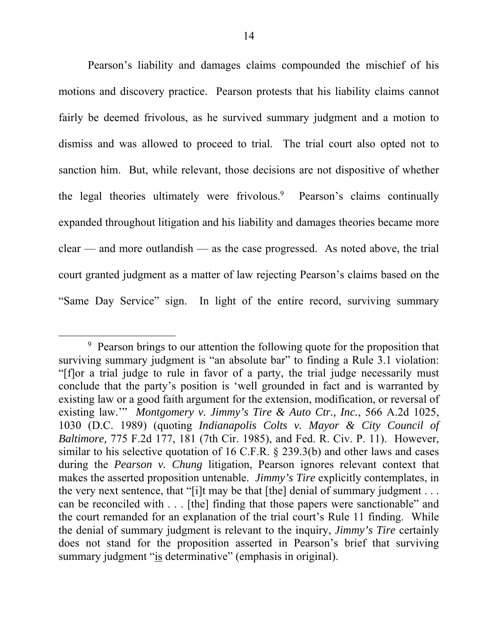Pearson's liability and damages claims compounded the mischief of his motions and discovery practice. Pearson protests that his liability claims cannot fairly be deemed frivolous, as he survived summary judgment and a motion to dismiss and was allowed to proceed to trial. The trial court also opted not to sanction him. But, while relevant, those decisions are not dispositive of whether the legal theories ultimately were frivolous.<sup>9</sup> Pearson's claims continually expanded throughout litigation and his liability and damages theories became more clear — and more outlandish — as the case progressed. As noted above, the trial court granted judgment as a matter of law rejecting Pearson's claims based on the "Same Day Service" sign. In light of the entire record, surviving summary

 <sup>9</sup> <sup>9</sup> Pearson brings to our attention the following quote for the proposition that surviving summary judgment is "an absolute bar" to finding a Rule 3.1 violation: "[f]or a trial judge to rule in favor of a party, the trial judge necessarily must conclude that the party's position is 'well grounded in fact and is warranted by existing law or a good faith argument for the extension, modification, or reversal of existing law.'" *Montgomery v. Jimmy's Tire & Auto Ctr., Inc.*, 566 A.2d 1025, 1030 (D.C. 1989) (quoting *Indianapolis Colts v. Mayor & City Council of Baltimore,* 775 F.2d 177, 181 (7th Cir. 1985), and Fed. R. Civ. P. 11). However, similar to his selective quotation of 16 C.F.R. § 239.3(b) and other laws and cases during the *Pearson v. Chung* litigation, Pearson ignores relevant context that makes the asserted proposition untenable. *Jimmy's Tire* explicitly contemplates, in the very next sentence, that "[i]t may be that [the] denial of summary judgment  $\dots$ can be reconciled with . . . [the] finding that those papers were sanctionable" and the court remanded for an explanation of the trial court's Rule 11 finding. While the denial of summary judgment is relevant to the inquiry, *Jimmy's Tire* certainly does not stand for the proposition asserted in Pearson's brief that surviving summary judgment "is determinative" (emphasis in original).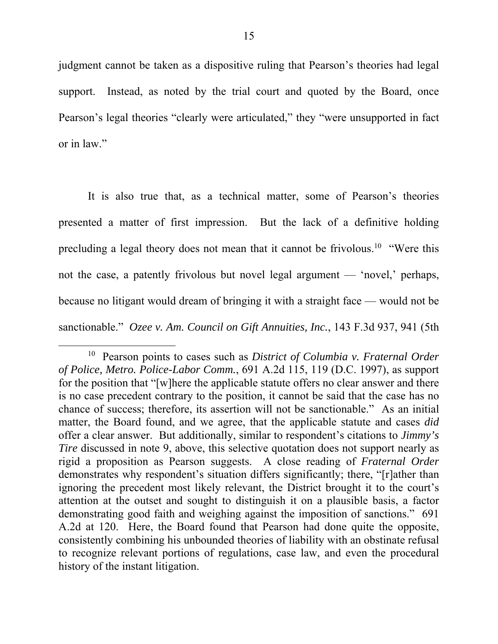judgment cannot be taken as a dispositive ruling that Pearson's theories had legal support. Instead, as noted by the trial court and quoted by the Board, once Pearson's legal theories "clearly were articulated," they "were unsupported in fact or in law."

It is also true that, as a technical matter, some of Pearson's theories presented a matter of first impression. But the lack of a definitive holding precluding a legal theory does not mean that it cannot be frivolous.10 "Were this not the case, a patently frivolous but novel legal argument — 'novel,' perhaps, because no litigant would dream of bringing it with a straight face — would not be sanctionable." *Ozee v. Am. Council on Gift Annuities, Inc.*, 143 F.3d 937, 941 (5th

 <sup>10</sup> Pearson points to cases such as *District of Columbia v. Fraternal Order of Police, Metro. Police-Labor Comm.*, 691 A.2d 115, 119 (D.C. 1997), as support for the position that "[w]here the applicable statute offers no clear answer and there is no case precedent contrary to the position, it cannot be said that the case has no chance of success; therefore, its assertion will not be sanctionable." As an initial matter, the Board found, and we agree, that the applicable statute and cases *did*  offer a clear answer. But additionally, similar to respondent's citations to *Jimmy's Tire* discussed in note 9, above, this selective quotation does not support nearly as rigid a proposition as Pearson suggests. A close reading of *Fraternal Order* demonstrates why respondent's situation differs significantly; there, "[r]ather than ignoring the precedent most likely relevant, the District brought it to the court's attention at the outset and sought to distinguish it on a plausible basis, a factor demonstrating good faith and weighing against the imposition of sanctions." 691 A.2d at 120. Here, the Board found that Pearson had done quite the opposite, consistently combining his unbounded theories of liability with an obstinate refusal to recognize relevant portions of regulations, case law, and even the procedural history of the instant litigation.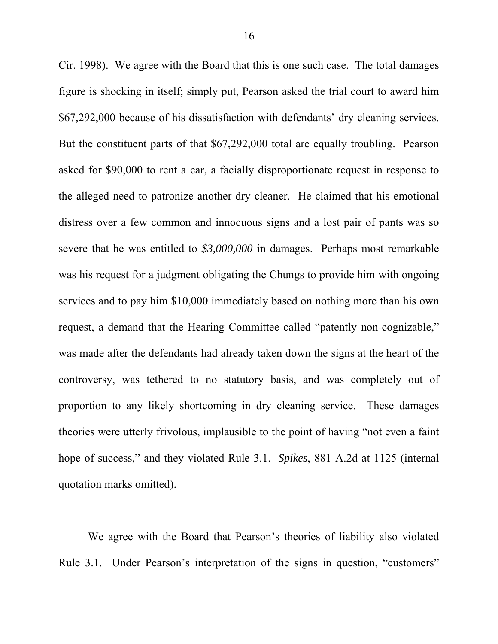Cir. 1998). We agree with the Board that this is one such case. The total damages figure is shocking in itself; simply put, Pearson asked the trial court to award him \$67,292,000 because of his dissatisfaction with defendants' dry cleaning services. But the constituent parts of that \$67,292,000 total are equally troubling. Pearson asked for \$90,000 to rent a car, a facially disproportionate request in response to the alleged need to patronize another dry cleaner. He claimed that his emotional distress over a few common and innocuous signs and a lost pair of pants was so severe that he was entitled to *\$3,000,000* in damages. Perhaps most remarkable was his request for a judgment obligating the Chungs to provide him with ongoing services and to pay him \$10,000 immediately based on nothing more than his own request, a demand that the Hearing Committee called "patently non-cognizable," was made after the defendants had already taken down the signs at the heart of the controversy, was tethered to no statutory basis, and was completely out of proportion to any likely shortcoming in dry cleaning service. These damages theories were utterly frivolous, implausible to the point of having "not even a faint hope of success," and they violated Rule 3.1. *Spikes*, 881 A.2d at 1125 (internal quotation marks omitted).

We agree with the Board that Pearson's theories of liability also violated Rule 3.1. Under Pearson's interpretation of the signs in question, "customers"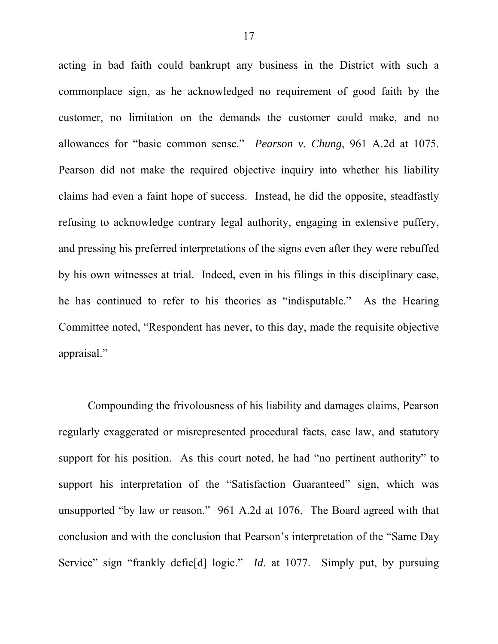acting in bad faith could bankrupt any business in the District with such a commonplace sign, as he acknowledged no requirement of good faith by the customer, no limitation on the demands the customer could make, and no allowances for "basic common sense." *Pearson v. Chung*, 961 A.2d at 1075. Pearson did not make the required objective inquiry into whether his liability claims had even a faint hope of success. Instead, he did the opposite, steadfastly refusing to acknowledge contrary legal authority, engaging in extensive puffery, and pressing his preferred interpretations of the signs even after they were rebuffed by his own witnesses at trial. Indeed, even in his filings in this disciplinary case, he has continued to refer to his theories as "indisputable." As the Hearing Committee noted, "Respondent has never, to this day, made the requisite objective appraisal."

Compounding the frivolousness of his liability and damages claims, Pearson regularly exaggerated or misrepresented procedural facts, case law, and statutory support for his position. As this court noted, he had "no pertinent authority" to support his interpretation of the "Satisfaction Guaranteed" sign, which was unsupported "by law or reason." 961 A.2d at 1076. The Board agreed with that conclusion and with the conclusion that Pearson's interpretation of the "Same Day Service" sign "frankly defie[d] logic." *Id*. at 1077. Simply put, by pursuing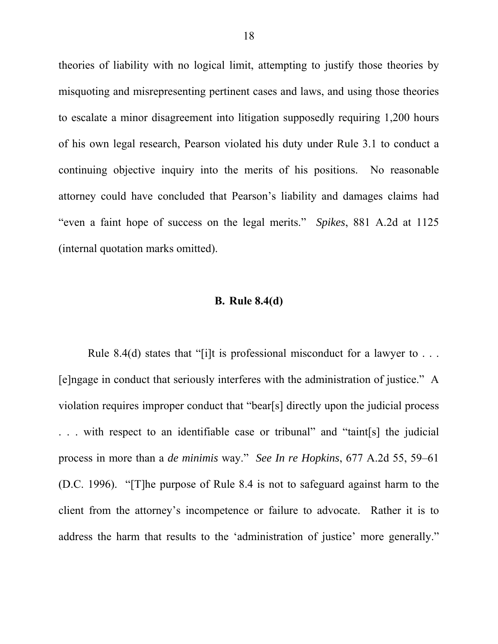theories of liability with no logical limit, attempting to justify those theories by misquoting and misrepresenting pertinent cases and laws, and using those theories to escalate a minor disagreement into litigation supposedly requiring 1,200 hours of his own legal research, Pearson violated his duty under Rule 3.1 to conduct a continuing objective inquiry into the merits of his positions. No reasonable attorney could have concluded that Pearson's liability and damages claims had "even a faint hope of success on the legal merits." *Spikes*, 881 A.2d at 1125 (internal quotation marks omitted).

#### **B. Rule 8.4(d)**

Rule 8.4(d) states that "[i]t is professional misconduct for a lawyer to ... [e]ngage in conduct that seriously interferes with the administration of justice." A violation requires improper conduct that "bear[s] directly upon the judicial process . . . with respect to an identifiable case or tribunal" and "taint[s] the judicial process in more than a *de minimis* way." *See In re Hopkins*, 677 A.2d 55, 59–61 (D.C. 1996). "[T]he purpose of Rule 8.4 is not to safeguard against harm to the client from the attorney's incompetence or failure to advocate. Rather it is to address the harm that results to the 'administration of justice' more generally."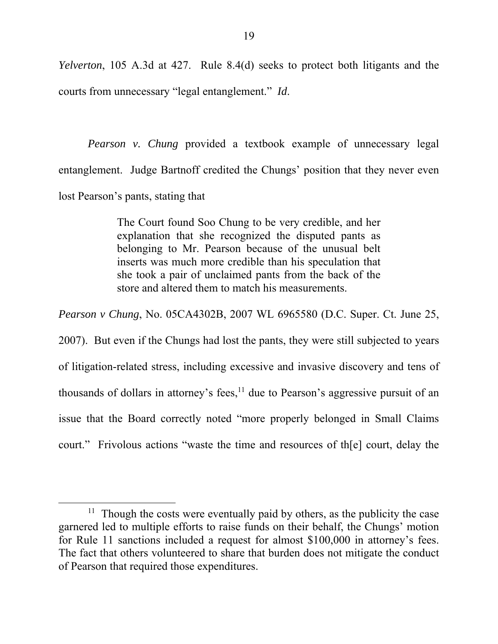*Yelverton*, 105 A.3d at 427. Rule 8.4(d) seeks to protect both litigants and the courts from unnecessary "legal entanglement." *Id*.

*Pearson v. Chung* provided a textbook example of unnecessary legal entanglement. Judge Bartnoff credited the Chungs' position that they never even lost Pearson's pants, stating that

> The Court found Soo Chung to be very credible, and her explanation that she recognized the disputed pants as belonging to Mr. Pearson because of the unusual belt inserts was much more credible than his speculation that she took a pair of unclaimed pants from the back of the store and altered them to match his measurements.

*Pearson v Chung*, No. 05CA4302B, 2007 WL 6965580 (D.C. Super. Ct. June 25, 2007). But even if the Chungs had lost the pants, they were still subjected to years of litigation-related stress, including excessive and invasive discovery and tens of thousands of dollars in attorney's fees, $<sup>11</sup>$  due to Pearson's aggressive pursuit of an</sup> issue that the Board correctly noted "more properly belonged in Small Claims court." Frivolous actions "waste the time and resources of th[e] court, delay the

<sup>&</sup>lt;sup>11</sup> Though the costs were eventually paid by others, as the publicity the case garnered led to multiple efforts to raise funds on their behalf, the Chungs' motion for Rule 11 sanctions included a request for almost \$100,000 in attorney's fees. The fact that others volunteered to share that burden does not mitigate the conduct of Pearson that required those expenditures.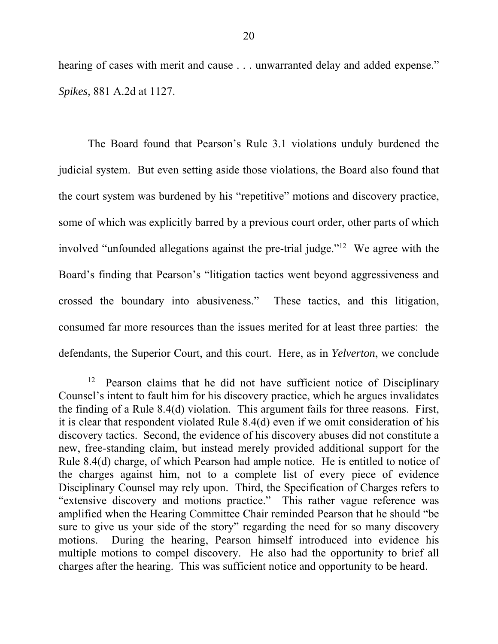hearing of cases with merit and cause . . . unwarranted delay and added expense." *Spikes,* 881 A.2d at 1127.

The Board found that Pearson's Rule 3.1 violations unduly burdened the judicial system. But even setting aside those violations, the Board also found that the court system was burdened by his "repetitive" motions and discovery practice, some of which was explicitly barred by a previous court order, other parts of which involved "unfounded allegations against the pre-trial judge."12 We agree with the Board's finding that Pearson's "litigation tactics went beyond aggressiveness and crossed the boundary into abusiveness." These tactics, and this litigation, consumed far more resources than the issues merited for at least three parties: the defendants, the Superior Court, and this court. Here, as in *Yelverton*, we conclude

 $12$  Pearson claims that he did not have sufficient notice of Disciplinary Counsel's intent to fault him for his discovery practice, which he argues invalidates the finding of a Rule 8.4(d) violation. This argument fails for three reasons. First, it is clear that respondent violated Rule 8.4(d) even if we omit consideration of his discovery tactics. Second, the evidence of his discovery abuses did not constitute a new, free-standing claim, but instead merely provided additional support for the Rule 8.4(d) charge, of which Pearson had ample notice. He is entitled to notice of the charges against him, not to a complete list of every piece of evidence Disciplinary Counsel may rely upon. Third, the Specification of Charges refers to "extensive discovery and motions practice." This rather vague reference was amplified when the Hearing Committee Chair reminded Pearson that he should "be sure to give us your side of the story" regarding the need for so many discovery motions. During the hearing, Pearson himself introduced into evidence his multiple motions to compel discovery. He also had the opportunity to brief all charges after the hearing. This was sufficient notice and opportunity to be heard.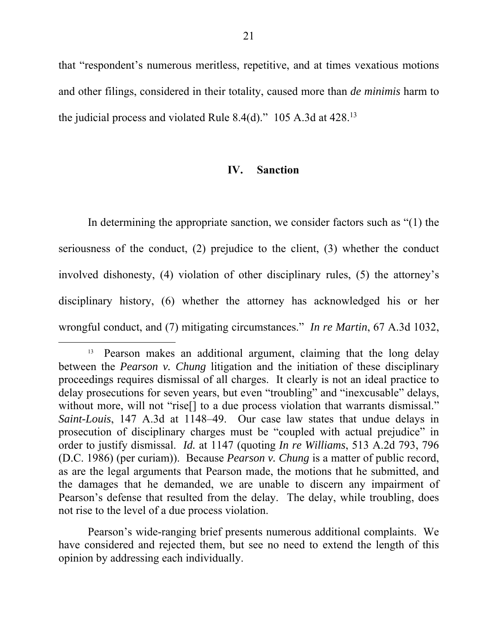that "respondent's numerous meritless, repetitive, and at times vexatious motions and other filings, considered in their totality, caused more than *de minimis* harm to the judicial process and violated Rule 8.4(d)." 105 A.3d at  $428^{13}$ 

### **IV. Sanction**

In determining the appropriate sanction, we consider factors such as "(1) the seriousness of the conduct, (2) prejudice to the client, (3) whether the conduct involved dishonesty, (4) violation of other disciplinary rules, (5) the attorney's disciplinary history, (6) whether the attorney has acknowledged his or her wrongful conduct, and (7) mitigating circumstances." *In re Martin*, 67 A.3d 1032,

Pearson's wide-ranging brief presents numerous additional complaints. We have considered and rejected them, but see no need to extend the length of this opinion by addressing each individually.

<sup>&</sup>lt;sup>13</sup> Pearson makes an additional argument, claiming that the long delay between the *Pearson v. Chung* litigation and the initiation of these disciplinary proceedings requires dismissal of all charges. It clearly is not an ideal practice to delay prosecutions for seven years, but even "troubling" and "inexcusable" delays, without more, will not "rise<sup>[]</sup> to a due process violation that warrants dismissal." *Saint-Louis*, 147 A.3d at 1148–49. Our case law states that undue delays in prosecution of disciplinary charges must be "coupled with actual prejudice" in order to justify dismissal. *Id.* at 1147 (quoting *In re Williams*, 513 A.2d 793, 796 (D.C. 1986) (per curiam)). Because *Pearson v. Chung* is a matter of public record, as are the legal arguments that Pearson made, the motions that he submitted, and the damages that he demanded, we are unable to discern any impairment of Pearson's defense that resulted from the delay. The delay, while troubling, does not rise to the level of a due process violation.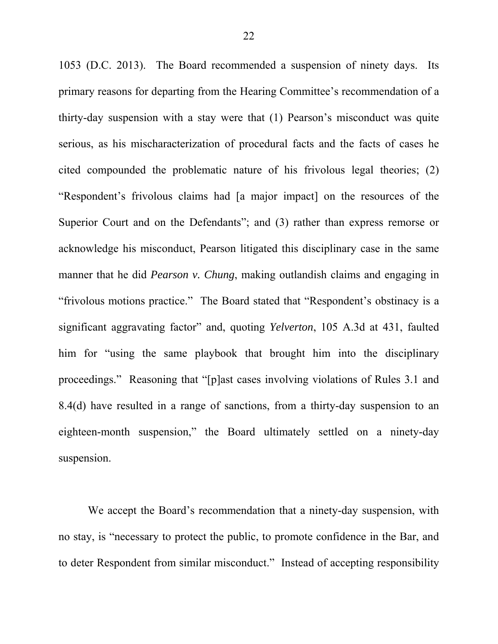1053 (D.C. 2013). The Board recommended a suspension of ninety days. Its primary reasons for departing from the Hearing Committee's recommendation of a thirty-day suspension with a stay were that (1) Pearson's misconduct was quite serious, as his mischaracterization of procedural facts and the facts of cases he cited compounded the problematic nature of his frivolous legal theories; (2) "Respondent's frivolous claims had [a major impact] on the resources of the Superior Court and on the Defendants"; and (3) rather than express remorse or acknowledge his misconduct, Pearson litigated this disciplinary case in the same manner that he did *Pearson v. Chung*, making outlandish claims and engaging in "frivolous motions practice." The Board stated that "Respondent's obstinacy is a significant aggravating factor" and, quoting *Yelverton*, 105 A.3d at 431, faulted him for "using the same playbook that brought him into the disciplinary proceedings." Reasoning that "[p]ast cases involving violations of Rules 3.1 and 8.4(d) have resulted in a range of sanctions, from a thirty-day suspension to an eighteen-month suspension," the Board ultimately settled on a ninety-day suspension.

We accept the Board's recommendation that a ninety-day suspension, with no stay, is "necessary to protect the public, to promote confidence in the Bar, and to deter Respondent from similar misconduct." Instead of accepting responsibility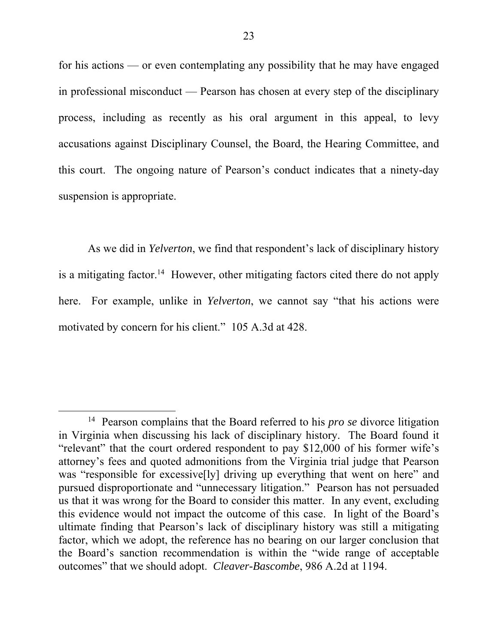for his actions — or even contemplating any possibility that he may have engaged in professional misconduct — Pearson has chosen at every step of the disciplinary process, including as recently as his oral argument in this appeal, to levy accusations against Disciplinary Counsel, the Board, the Hearing Committee, and this court. The ongoing nature of Pearson's conduct indicates that a ninety-day suspension is appropriate.

As we did in *Yelverton*, we find that respondent's lack of disciplinary history is a mitigating factor.<sup>14</sup> However, other mitigating factors cited there do not apply here. For example, unlike in *Yelverton*, we cannot say "that his actions were motivated by concern for his client." 105 A.3d at 428.

 <sup>14</sup> Pearson complains that the Board referred to his *pro se* divorce litigation in Virginia when discussing his lack of disciplinary history. The Board found it "relevant" that the court ordered respondent to pay \$12,000 of his former wife's attorney's fees and quoted admonitions from the Virginia trial judge that Pearson was "responsible for excessive[ly] driving up everything that went on here" and pursued disproportionate and "unnecessary litigation." Pearson has not persuaded us that it was wrong for the Board to consider this matter. In any event, excluding this evidence would not impact the outcome of this case. In light of the Board's ultimate finding that Pearson's lack of disciplinary history was still a mitigating factor, which we adopt, the reference has no bearing on our larger conclusion that the Board's sanction recommendation is within the "wide range of acceptable outcomes" that we should adopt. *Cleaver-Bascombe*, 986 A.2d at 1194.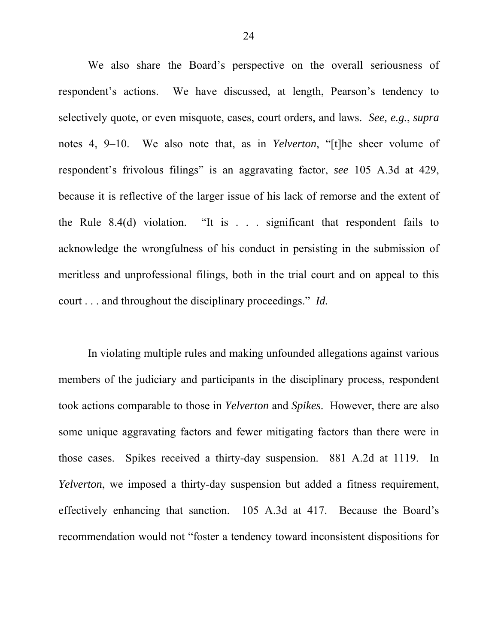We also share the Board's perspective on the overall seriousness of respondent's actions. We have discussed, at length, Pearson's tendency to selectively quote, or even misquote, cases, court orders, and laws. *See, e.g.*, *supra* notes 4, 9–10. We also note that, as in *Yelverton*, "[t]he sheer volume of respondent's frivolous filings" is an aggravating factor, *see* 105 A.3d at 429, because it is reflective of the larger issue of his lack of remorse and the extent of the Rule 8.4(d) violation. "It is . . . significant that respondent fails to acknowledge the wrongfulness of his conduct in persisting in the submission of meritless and unprofessional filings, both in the trial court and on appeal to this court . . . and throughout the disciplinary proceedings." *Id.*

In violating multiple rules and making unfounded allegations against various members of the judiciary and participants in the disciplinary process, respondent took actions comparable to those in *Yelverton* and *Spikes*. However, there are also some unique aggravating factors and fewer mitigating factors than there were in those cases. Spikes received a thirty-day suspension. 881 A.2d at 1119. In *Yelverton*, we imposed a thirty-day suspension but added a fitness requirement, effectively enhancing that sanction. 105 A.3d at 417. Because the Board's recommendation would not "foster a tendency toward inconsistent dispositions for